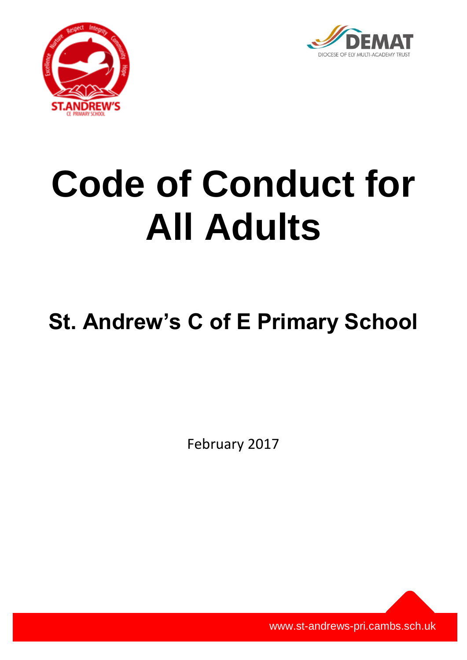



# **Code of Conduct for All Adults**

# **St. Andrew's C of E Primary School**

February 2017

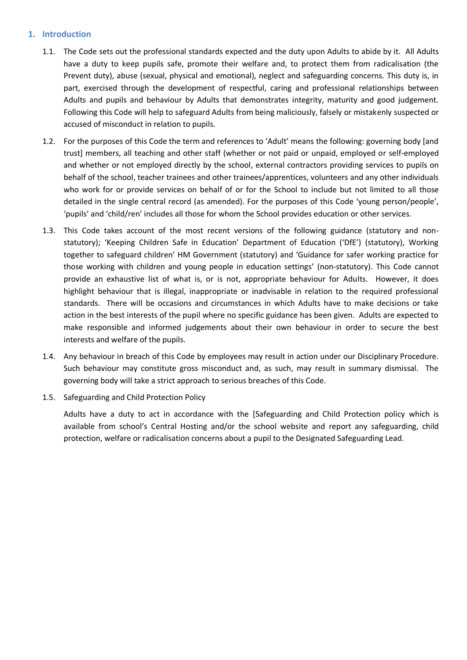# **1. Introduction**

- 1.1. The Code sets out the professional standards expected and the duty upon Adults to abide by it. All Adults have a duty to keep pupils safe, promote their welfare and, to protect them from radicalisation (the Prevent duty), abuse (sexual, physical and emotional), neglect and safeguarding concerns. This duty is, in part, exercised through the development of respectful, caring and professional relationships between Adults and pupils and behaviour by Adults that demonstrates integrity, maturity and good judgement. Following this Code will help to safeguard Adults from being maliciously, falsely or mistakenly suspected or accused of misconduct in relation to pupils.
- 1.2. For the purposes of this Code the term and references to 'Adult' means the following: governing body [and trust] members, all teaching and other staff (whether or not paid or unpaid, employed or self-employed and whether or not employed directly by the school, external contractors providing services to pupils on behalf of the school, teacher trainees and other trainees/apprentices, volunteers and any other individuals who work for or provide services on behalf of or for the School to include but not limited to all those detailed in the single central record (as amended). For the purposes of this Code 'young person/people', 'pupils' and 'child/ren' includes all those for whom the School provides education or other services.
- 1.3. This Code takes account of the most recent versions of the following guidance (statutory and nonstatutory); 'Keeping Children Safe in Education' Department of Education ('DfE') (statutory), Working together to safeguard children' HM Government (statutory) and 'Guidance for safer working practice for those working with children and young people in education settings' (non-statutory). This Code cannot provide an exhaustive list of what is, or is not, appropriate behaviour for Adults. However, it does highlight behaviour that is illegal, inappropriate or inadvisable in relation to the required professional standards. There will be occasions and circumstances in which Adults have to make decisions or take action in the best interests of the pupil where no specific guidance has been given. Adults are expected to make responsible and informed judgements about their own behaviour in order to secure the best interests and welfare of the pupils.
- 1.4. Any behaviour in breach of this Code by employees may result in action under our Disciplinary Procedure. Such behaviour may constitute gross misconduct and, as such, may result in summary dismissal. The governing body will take a strict approach to serious breaches of this Code.
- 1.5. Safeguarding and Child Protection Policy

Adults have a duty to act in accordance with the [Safeguarding and Child Protection policy which is available from school's Central Hosting and/or the school website and report any safeguarding, child protection, welfare or radicalisation concerns about a pupil to the Designated Safeguarding Lead.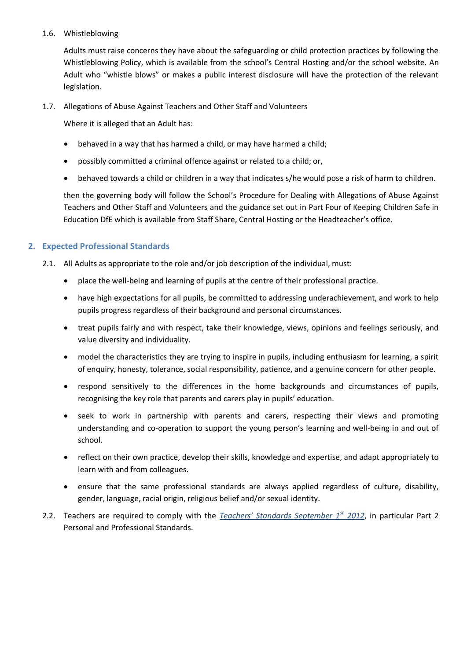### 1.6. Whistleblowing

Adults must raise concerns they have about the safeguarding or child protection practices by following the Whistleblowing Policy, which is available from the school's Central Hosting and/or the school website*.* An Adult who "whistle blows" or makes a public interest disclosure will have the protection of the relevant legislation.

1.7. Allegations of Abuse Against Teachers and Other Staff and Volunteers

Where it is alleged that an Adult has:

- behaved in a way that has harmed a child, or may have harmed a child;
- possibly committed a criminal offence against or related to a child; or,
- behaved towards a child or children in a way that indicates s/he would pose a risk of harm to children.

then the governing body will follow the School's Procedure for Dealing with Allegations of Abuse Against Teachers and Other Staff and Volunteers and the guidance set out in Part Four of Keeping Children Safe in Education DfE which is available from Staff Share, Central Hosting or the Headteacher's office.

# **2. Expected Professional Standards**

- 2.1. All Adults as appropriate to the role and/or job description of the individual, must:
	- place the well-being and learning of pupils at the centre of their professional practice.
	- have high expectations for all pupils, be committed to addressing underachievement, and work to help pupils progress regardless of their background and personal circumstances.
	- treat pupils fairly and with respect, take their knowledge, views, opinions and feelings seriously, and value diversity and individuality.
	- model the characteristics they are trying to inspire in pupils, including enthusiasm for learning, a spirit of enquiry, honesty, tolerance, social responsibility, patience, and a genuine concern for other people.
	- respond sensitively to the differences in the home backgrounds and circumstances of pupils, recognising the key role that parents and carers play in pupils' education.
	- seek to work in partnership with parents and carers, respecting their views and promoting understanding and co-operation to support the young person's learning and well-being in and out of school.
	- reflect on their own practice, develop their skills, knowledge and expertise, and adapt appropriately to learn with and from colleagues.
	- ensure that the same professional standards are always applied regardless of culture, disability, gender, language, racial origin, religious belief and/or sexual identity.
- 2.2. Teachers are required to comply with the *[Teachers' Standards September 1](https://www.gov.uk/government/uploads/system/uploads/attachment_data/file/301107/Teachers__Standards.pdf)st 2012*, in particular Part 2 Personal and Professional Standards.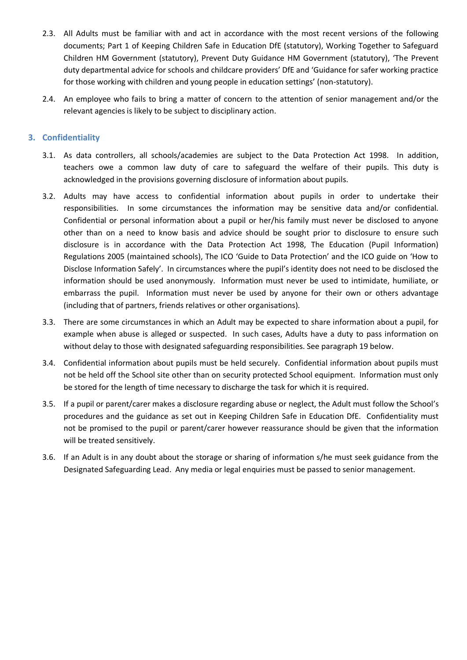- 2.3. All Adults must be familiar with and act in accordance with the most recent versions of the following documents; Part 1 of Keeping Children Safe in Education DfE (statutory), Working Together to Safeguard Children HM Government (statutory), Prevent Duty Guidance HM Government (statutory), 'The Prevent duty departmental advice for schools and childcare providers' DfE and 'Guidance for safer working practice for those working with children and young people in education settings' (non-statutory).
- 2.4. An employee who fails to bring a matter of concern to the attention of senior management and/or the relevant agencies is likely to be subject to disciplinary action.

# **3. Confidentiality**

- 3.1. As data controllers, all schools/academies are subject to the Data Protection Act 1998. In addition, teachers owe a common law duty of care to safeguard the welfare of their pupils. This duty is acknowledged in the provisions governing disclosure of information about pupils.
- 3.2. Adults may have access to confidential information about pupils in order to undertake their responsibilities. In some circumstances the information may be sensitive data and/or confidential. Confidential or personal information about a pupil or her/his family must never be disclosed to anyone other than on a need to know basis and advice should be sought prior to disclosure to ensure such disclosure is in accordance with the Data Protection Act 1998, The Education (Pupil Information) Regulations 2005 (maintained schools), The ICO 'Guide to Data Protection' and the ICO guide on 'How to Disclose Information Safely'. In circumstances where the pupil's identity does not need to be disclosed the information should be used anonymously. Information must never be used to intimidate, humiliate, or embarrass the pupil. Information must never be used by anyone for their own or others advantage (including that of partners, friends relatives or other organisations).
- 3.3. There are some circumstances in which an Adult may be expected to share information about a pupil, for example when abuse is alleged or suspected. In such cases, Adults have a duty to pass information on without delay to those with designated safeguarding responsibilities. See paragraph 19 below.
- 3.4. Confidential information about pupils must be held securely. Confidential information about pupils must not be held off the School site other than on security protected School equipment. Information must only be stored for the length of time necessary to discharge the task for which it is required.
- 3.5. If a pupil or parent/carer makes a disclosure regarding abuse or neglect, the Adult must follow the School's procedures and the guidance as set out in Keeping Children Safe in Education DfE. Confidentiality must not be promised to the pupil or parent/carer however reassurance should be given that the information will be treated sensitively.
- 3.6. If an Adult is in any doubt about the storage or sharing of information s/he must seek guidance from the Designated Safeguarding Lead. Any media or legal enquiries must be passed to senior management.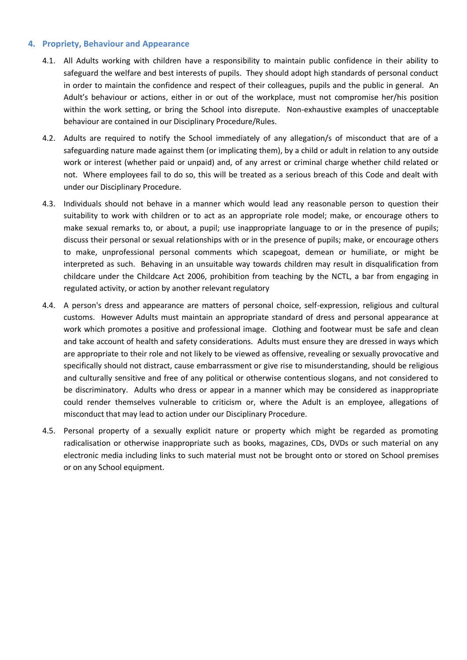#### **4. Propriety, Behaviour and Appearance**

- 4.1. All Adults working with children have a responsibility to maintain public confidence in their ability to safeguard the welfare and best interests of pupils. They should adopt high standards of personal conduct in order to maintain the confidence and respect of their colleagues, pupils and the public in general. An Adult's behaviour or actions, either in or out of the workplace, must not compromise her/his position within the work setting, or bring the School into disrepute. Non-exhaustive examples of unacceptable behaviour are contained in our Disciplinary Procedure/Rules.
- 4.2. Adults are required to notify the School immediately of any allegation/s of misconduct that are of a safeguarding nature made against them (or implicating them), by a child or adult in relation to any outside work or interest (whether paid or unpaid) and, of any arrest or criminal charge whether child related or not. Where employees fail to do so, this will be treated as a serious breach of this Code and dealt with under our Disciplinary Procedure.
- 4.3. Individuals should not behave in a manner which would lead any reasonable person to question their suitability to work with children or to act as an appropriate role model; make, or encourage others to make sexual remarks to, or about, a pupil; use inappropriate language to or in the presence of pupils; discuss their personal or sexual relationships with or in the presence of pupils; make, or encourage others to make, unprofessional personal comments which scapegoat, demean or humiliate, or might be interpreted as such. Behaving in an unsuitable way towards children may result in disqualification from childcare under the Childcare Act 2006, prohibition from teaching by the NCTL, a bar from engaging in regulated activity, or action by another relevant regulatory
- 4.4. A person's dress and appearance are matters of personal choice, self-expression, religious and cultural customs. However Adults must maintain an appropriate standard of dress and personal appearance at work which promotes a positive and professional image. Clothing and footwear must be safe and clean and take account of health and safety considerations. Adults must ensure they are dressed in ways which are appropriate to their role and not likely to be viewed as offensive, revealing or sexually provocative and specifically should not distract, cause embarrassment or give rise to misunderstanding, should be religious and culturally sensitive and free of any political or otherwise contentious slogans, and not considered to be discriminatory. Adults who dress or appear in a manner which may be considered as inappropriate could render themselves vulnerable to criticism or, where the Adult is an employee, allegations of misconduct that may lead to action under our Disciplinary Procedure.
- 4.5. Personal property of a sexually explicit nature or property which might be regarded as promoting radicalisation or otherwise inappropriate such as books, magazines, CDs, DVDs or such material on any electronic media including links to such material must not be brought onto or stored on School premises or on any School equipment.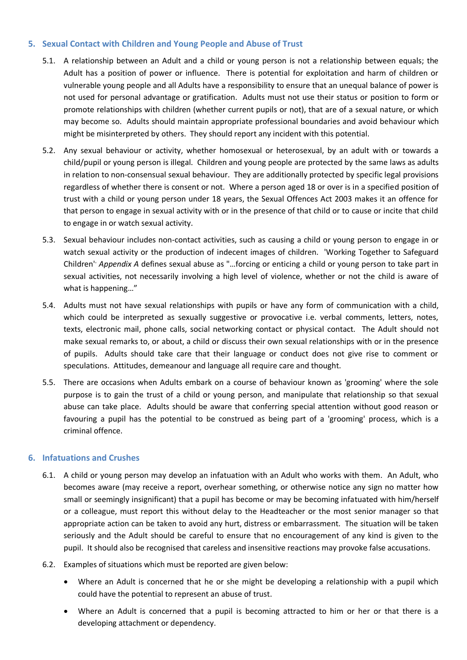# **5. Sexual Contact with Children and Young People and Abuse of Trust**

- 5.1. A relationship between an Adult and a child or young person is not a relationship between equals; the Adult has a position of power or influence. There is potential for exploitation and harm of children or vulnerable young people and all Adults have a responsibility to ensure that an unequal balance of power is not used for personal advantage or gratification. Adults must not use their status or position to form or promote relationships with children (whether current pupils or not), that are of a sexual nature, or which may become so. Adults should maintain appropriate professional boundaries and avoid behaviour which might be misinterpreted by others. They should report any incident with this potential.
- 5.2. Any sexual behaviour or activity, whether homosexual or heterosexual, by an adult with or towards a child/pupil or young person is illegal. Children and young people are protected by the same laws as adults in relation to non-consensual sexual behaviour. They are additionally protected by specific legal provisions regardless of whether there is consent or not. Where a person aged 18 or over is in a specified position of trust with a child or young person under 18 years, the Sexual Offences Act 2003 makes it an offence for that person to engage in sexual activity with or in the presence of that child or to cause or incite that child to engage in or watch sexual activity.
- 5.3. Sexual behaviour includes non-contact activities, such as causing a child or young person to engage in or watch sexual activity or the production of indecent images of children. 'Working Together to Safeguard Children'<sup>,</sup> Appendix A defines sexual abuse as "...forcing or enticing a child or young person to take part in sexual activities, not necessarily involving a high level of violence, whether or not the child is aware of what is happening…"
- 5.4. Adults must not have sexual relationships with pupils or have any form of communication with a child, which could be interpreted as sexually suggestive or provocative i.e. verbal comments, letters, notes, texts, electronic mail, phone calls, social networking contact or physical contact. The Adult should not make sexual remarks to, or about, a child or discuss their own sexual relationships with or in the presence of pupils. Adults should take care that their language or conduct does not give rise to comment or speculations. Attitudes, demeanour and language all require care and thought.
- 5.5. There are occasions when Adults embark on a course of behaviour known as 'grooming' where the sole purpose is to gain the trust of a child or young person, and manipulate that relationship so that sexual abuse can take place. Adults should be aware that conferring special attention without good reason or favouring a pupil has the potential to be construed as being part of a 'grooming' process, which is a criminal offence.

# **6. Infatuations and Crushes**

- 6.1. A child or young person may develop an infatuation with an Adult who works with them. An Adult, who becomes aware (may receive a report, overhear something, or otherwise notice any sign no matter how small or seemingly insignificant) that a pupil has become or may be becoming infatuated with him/herself or a colleague, must report this without delay to the Headteacher or the most senior manager so that appropriate action can be taken to avoid any hurt, distress or embarrassment. The situation will be taken seriously and the Adult should be careful to ensure that no encouragement of any kind is given to the pupil. It should also be recognised that careless and insensitive reactions may provoke false accusations.
- 6.2. Examples of situations which must be reported are given below:
	- Where an Adult is concerned that he or she might be developing a relationship with a pupil which could have the potential to represent an abuse of trust.
	- Where an Adult is concerned that a pupil is becoming attracted to him or her or that there is a developing attachment or dependency.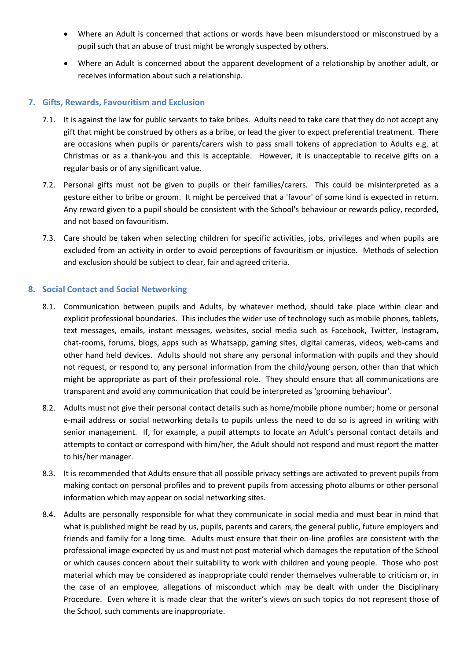- Where an Adult is concerned that actions or words have been misunderstood or misconstrued by a pupil such that an abuse of trust might be wrongly suspected by others.
- Where an Adult is concerned about the apparent development of a relationship by another adult, or receives information about such a relationship.

# **7. Gifts, Rewards, Favouritism and Exclusion**

- 7.1. It is against the law for public servants to take bribes. Adults need to take care that they do not accept any gift that might be construed by others as a bribe, or lead the giver to expect preferential treatment. There are occasions when pupils or parents/carers wish to pass small tokens of appreciation to Adults e.g. at Christmas or as a thank-you and this is acceptable. However, it is unacceptable to receive gifts on a regular basis or of any significant value.
- 7.2. Personal gifts must not be given to pupils or their families/carers. This could be misinterpreted as a gesture either to bribe or groom. It might be perceived that a 'favour' of some kind is expected in return. Any reward given to a pupil should be consistent with the School's behaviour or rewards policy, recorded, and not based on favouritism.
- 7.3. Care should be taken when selecting children for specific activities, jobs, privileges and when pupils are excluded from an activity in order to avoid perceptions of favouritism or injustice. Methods of selection and exclusion should be subject to clear, fair and agreed criteria.

# **8. Social Contact and Social Networking**

- 8.1. Communication between pupils and Adults, by whatever method, should take place within clear and explicit professional boundaries. This includes the wider use of technology such as mobile phones, tablets, text messages, emails, instant messages, websites, social media such as Facebook, Twitter, Instagram, chat-rooms, forums, blogs, apps such as Whatsapp, gaming sites, digital cameras, videos, web-cams and other hand held devices. Adults should not share any personal information with pupils and they should not request, or respond to, any personal information from the child/young person, other than that which might be appropriate as part of their professional role. They should ensure that all communications are transparent and avoid any communication that could be interpreted as 'grooming behaviour'.
- 8.2. Adults must not give their personal contact details such as home/mobile phone number; home or personal e-mail address or social networking details to pupils unless the need to do so is agreed in writing with senior management. If, for example, a pupil attempts to locate an Adult's personal contact details and attempts to contact or correspond with him/her, the Adult should not respond and must report the matter to his/her manager.
- 8.3. It is recommended that Adults ensure that all possible privacy settings are activated to prevent pupils from making contact on personal profiles and to prevent pupils from accessing photo albums or other personal information which may appear on social networking sites.
- 8.4. Adults are personally responsible for what they communicate in social media and must bear in mind that what is published might be read by us, pupils, parents and carers, the general public, future employers and friends and family for a long time. Adults must ensure that their on-line profiles are consistent with the professional image expected by us and must not post material which damages the reputation of the School or which causes concern about their suitability to work with children and young people. Those who post material which may be considered as inappropriate could render themselves vulnerable to criticism or, in the case of an employee, allegations of misconduct which may be dealt with under the Disciplinary Procedure. Even where it is made clear that the writer's views on such topics do not represent those of the School, such comments are inappropriate.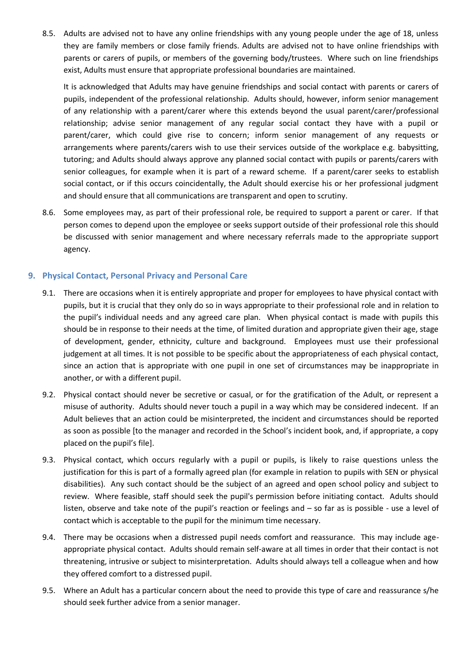8.5. Adults are advised not to have any online friendships with any young people under the age of 18, unless they are family members or close family friends. Adults are advised not to have online friendships with parents or carers of pupils, or members of the governing body/trustees. Where such on line friendships exist, Adults must ensure that appropriate professional boundaries are maintained.

It is acknowledged that Adults may have genuine friendships and social contact with parents or carers of pupils, independent of the professional relationship. Adults should, however, inform senior management of any relationship with a parent/carer where this extends beyond the usual parent/carer/professional relationship; advise senior management of any regular social contact they have with a pupil or parent/carer, which could give rise to concern; inform senior management of any requests or arrangements where parents/carers wish to use their services outside of the workplace e.g. babysitting, tutoring; and Adults should always approve any planned social contact with pupils or parents/carers with senior colleagues, for example when it is part of a reward scheme. If a parent/carer seeks to establish social contact, or if this occurs coincidentally, the Adult should exercise his or her professional judgment and should ensure that all communications are transparent and open to scrutiny.

8.6. Some employees may, as part of their professional role, be required to support a parent or carer. If that person comes to depend upon the employee or seeks support outside of their professional role this should be discussed with senior management and where necessary referrals made to the appropriate support agency.

# **9. Physical Contact, Personal Privacy and Personal Care**

- 9.1. There are occasions when it is entirely appropriate and proper for employees to have physical contact with pupils, but it is crucial that they only do so in ways appropriate to their professional role and in relation to the pupil's individual needs and any agreed care plan. When physical contact is made with pupils this should be in response to their needs at the time, of limited duration and appropriate given their age, stage of development, gender, ethnicity, culture and background. Employees must use their professional judgement at all times. It is not possible to be specific about the appropriateness of each physical contact, since an action that is appropriate with one pupil in one set of circumstances may be inappropriate in another, or with a different pupil.
- 9.2. Physical contact should never be secretive or casual, or for the gratification of the Adult, or represent a misuse of authority. Adults should never touch a pupil in a way which may be considered indecent. If an Adult believes that an action could be misinterpreted, the incident and circumstances should be reported as soon as possible [to the manager and recorded in the School's incident book, and, if appropriate, a copy placed on the pupil's file].
- 9.3. Physical contact, which occurs regularly with a pupil or pupils, is likely to raise questions unless the justification for this is part of a formally agreed plan (for example in relation to pupils with SEN or physical disabilities). Any such contact should be the subject of an agreed and open school policy and subject to review. Where feasible, staff should seek the pupil's permission before initiating contact. Adults should listen, observe and take note of the pupil's reaction or feelings and – so far as is possible - use a level of contact which is acceptable to the pupil for the minimum time necessary.
- 9.4. There may be occasions when a distressed pupil needs comfort and reassurance. This may include ageappropriate physical contact. Adults should remain self-aware at all times in order that their contact is not threatening, intrusive or subject to misinterpretation. Adults should always tell a colleague when and how they offered comfort to a distressed pupil.
- 9.5. Where an Adult has a particular concern about the need to provide this type of care and reassurance s/he should seek further advice from a senior manager.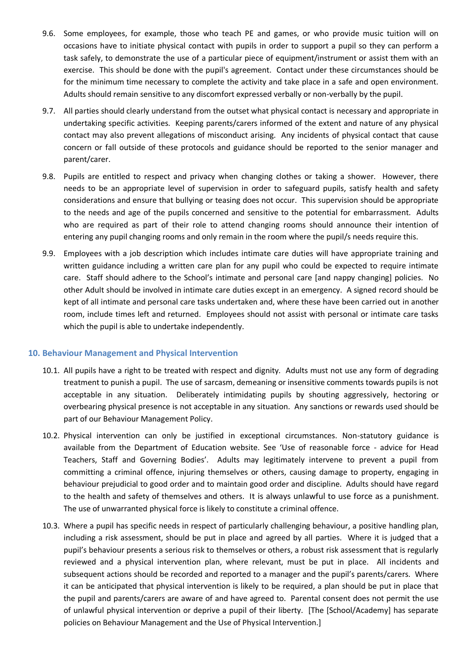- 9.6. Some employees, for example, those who teach PE and games, or who provide music tuition will on occasions have to initiate physical contact with pupils in order to support a pupil so they can perform a task safely, to demonstrate the use of a particular piece of equipment/instrument or assist them with an exercise. This should be done with the pupil's agreement. Contact under these circumstances should be for the minimum time necessary to complete the activity and take place in a safe and open environment. Adults should remain sensitive to any discomfort expressed verbally or non-verbally by the pupil.
- 9.7. All parties should clearly understand from the outset what physical contact is necessary and appropriate in undertaking specific activities. Keeping parents/carers informed of the extent and nature of any physical contact may also prevent allegations of misconduct arising. Any incidents of physical contact that cause concern or fall outside of these protocols and guidance should be reported to the senior manager and parent/carer.
- 9.8. Pupils are entitled to respect and privacy when changing clothes or taking a shower. However, there needs to be an appropriate level of supervision in order to safeguard pupils, satisfy health and safety considerations and ensure that bullying or teasing does not occur. This supervision should be appropriate to the needs and age of the pupils concerned and sensitive to the potential for embarrassment. Adults who are required as part of their role to attend changing rooms should announce their intention of entering any pupil changing rooms and only remain in the room where the pupil/s needs require this.
- 9.9. Employees with a job description which includes intimate care duties will have appropriate training and written guidance including a written care plan for any pupil who could be expected to require intimate care. Staff should adhere to the School's intimate and personal care [and nappy changing] policies. No other Adult should be involved in intimate care duties except in an emergency. A signed record should be kept of all intimate and personal care tasks undertaken and, where these have been carried out in another room, include times left and returned. Employees should not assist with personal or intimate care tasks which the pupil is able to undertake independently.

#### **10. Behaviour Management and Physical Intervention**

- 10.1. All pupils have a right to be treated with respect and dignity. Adults must not use any form of degrading treatment to punish a pupil. The use of sarcasm, demeaning or insensitive comments towards pupils is not acceptable in any situation. Deliberately intimidating pupils by shouting aggressively, hectoring or overbearing physical presence is not acceptable in any situation. Any sanctions or rewards used should be part of our Behaviour Management Policy.
- 10.2. Physical intervention can only be justified in exceptional circumstances. Non-statutory guidance is available from the Department of Education website. See 'Use of reasonable force - advice for Head Teachers, Staff and Governing Bodies'. Adults may legitimately intervene to prevent a pupil from committing a criminal offence, injuring themselves or others, causing damage to property, engaging in behaviour prejudicial to good order and to maintain good order and discipline. Adults should have regard to the health and safety of themselves and others. It is always unlawful to use force as a punishment. The use of unwarranted physical force is likely to constitute a criminal offence.
- 10.3. Where a pupil has specific needs in respect of particularly challenging behaviour, a positive handling plan, including a risk assessment, should be put in place and agreed by all parties. Where it is judged that a pupil's behaviour presents a serious risk to themselves or others, a robust risk assessment that is regularly reviewed and a physical intervention plan, where relevant, must be put in place. All incidents and subsequent actions should be recorded and reported to a manager and the pupil's parents/carers. Where it can be anticipated that physical intervention is likely to be required, a plan should be put in place that the pupil and parents/carers are aware of and have agreed to. Parental consent does not permit the use of unlawful physical intervention or deprive a pupil of their liberty. [The [School/Academy] has separate policies on Behaviour Management and the Use of Physical Intervention.]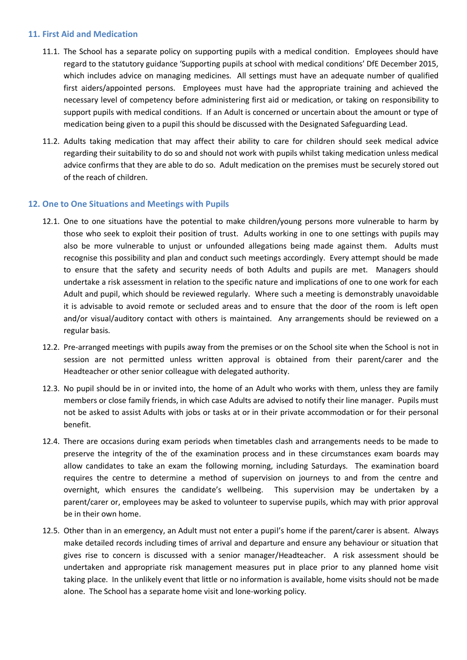#### **11. First Aid and Medication**

- 11.1. The School has a separate policy on supporting pupils with a medical condition. Employees should have regard to the statutory guidance 'Supporting pupils at school with medical conditions' DfE December 2015, which includes advice on managing medicines. All settings must have an adequate number of qualified first aiders/appointed persons. Employees must have had the appropriate training and achieved the necessary level of competency before administering first aid or medication, or taking on responsibility to support pupils with medical conditions. If an Adult is concerned or uncertain about the amount or type of medication being given to a pupil this should be discussed with the Designated Safeguarding Lead.
- 11.2. Adults taking medication that may affect their ability to care for children should seek medical advice regarding their suitability to do so and should not work with pupils whilst taking medication unless medical advice confirms that they are able to do so. Adult medication on the premises must be securely stored out of the reach of children.

#### **12. One to One Situations and Meetings with Pupils**

- 12.1. One to one situations have the potential to make children/young persons more vulnerable to harm by those who seek to exploit their position of trust. Adults working in one to one settings with pupils may also be more vulnerable to unjust or unfounded allegations being made against them. Adults must recognise this possibility and plan and conduct such meetings accordingly. Every attempt should be made to ensure that the safety and security needs of both Adults and pupils are met. Managers should undertake a risk assessment in relation to the specific nature and implications of one to one work for each Adult and pupil, which should be reviewed regularly. Where such a meeting is demonstrably unavoidable it is advisable to avoid remote or secluded areas and to ensure that the door of the room is left open and/or visual/auditory contact with others is maintained. Any arrangements should be reviewed on a regular basis.
- 12.2. Pre-arranged meetings with pupils away from the premises or on the School site when the School is not in session are not permitted unless written approval is obtained from their parent/carer and the Headteacher or other senior colleague with delegated authority.
- 12.3. No pupil should be in or invited into, the home of an Adult who works with them, unless they are family members or close family friends, in which case Adults are advised to notify their line manager. Pupils must not be asked to assist Adults with jobs or tasks at or in their private accommodation or for their personal benefit.
- 12.4. There are occasions during exam periods when timetables clash and arrangements needs to be made to preserve the integrity of the of the examination process and in these circumstances exam boards may allow candidates to take an exam the following morning, including Saturdays. The examination board requires the centre to determine a method of supervision on journeys to and from the centre and overnight, which ensures the candidate's wellbeing. This supervision may be undertaken by a parent/carer or, employees may be asked to volunteer to supervise pupils, which may with prior approval be in their own home.
- 12.5. Other than in an emergency, an Adult must not enter a pupil's home if the parent/carer is absent. Always make detailed records including times of arrival and departure and ensure any behaviour or situation that gives rise to concern is discussed with a senior manager/Headteacher. A risk assessment should be undertaken and appropriate risk management measures put in place prior to any planned home visit taking place. In the unlikely event that little or no information is available, home visits should not be made alone. The School has a separate home visit and lone-working policy.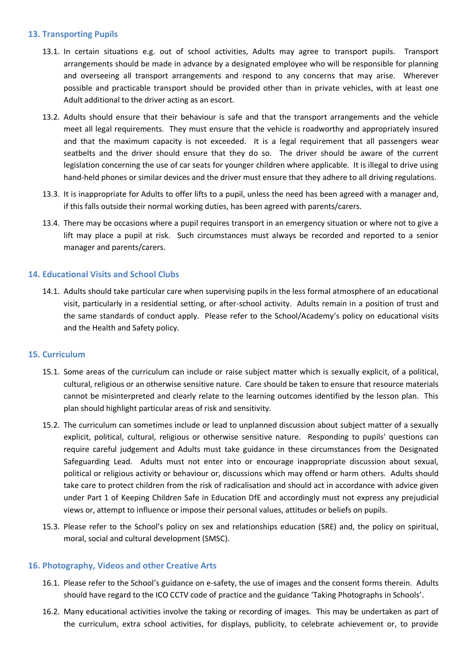#### **13. Transporting Pupils**

- 13.1. In certain situations e.g. out of school activities, Adults may agree to transport pupils. Transport arrangements should be made in advance by a designated employee who will be responsible for planning and overseeing all transport arrangements and respond to any concerns that may arise. Wherever possible and practicable transport should be provided other than in private vehicles, with at least one Adult additional to the driver acting as an escort.
- 13.2. Adults should ensure that their behaviour is safe and that the transport arrangements and the vehicle meet all legal requirements. They must ensure that the vehicle is roadworthy and appropriately insured and that the maximum capacity is not exceeded. It is a legal requirement that all passengers wear seatbelts and the driver should ensure that they do so. The driver should be aware of the current legislation concerning the use of car seats for younger children where applicable. It is illegal to drive using hand-held phones or similar devices and the driver must ensure that they adhere to all driving regulations.
- 13.3. It is inappropriate for Adults to offer lifts to a pupil, unless the need has been agreed with a manager and, if this falls outside their normal working duties, has been agreed with parents/carers.
- 13.4. There may be occasions where a pupil requires transport in an emergency situation or where not to give a lift may place a pupil at risk. Such circumstances must always be recorded and reported to a senior manager and parents/carers.

# **14. Educational Visits and School Clubs**

14.1. Adults should take particular care when supervising pupils in the less formal atmosphere of an educational visit, particularly in a residential setting, or after-school activity. Adults remain in a position of trust and the same standards of conduct apply. Please refer to the School/Academy's policy on educational visits and the Health and Safety policy.

# **15. Curriculum**

- 15.1. Some areas of the curriculum can include or raise subject matter which is sexually explicit, of a political, cultural, religious or an otherwise sensitive nature. Care should be taken to ensure that resource materials cannot be misinterpreted and clearly relate to the learning outcomes identified by the lesson plan. This plan should highlight particular areas of risk and sensitivity.
- 15.2. The curriculum can sometimes include or lead to unplanned discussion about subject matter of a sexually explicit, political, cultural, religious or otherwise sensitive nature. Responding to pupils' questions can require careful judgement and Adults must take guidance in these circumstances from the Designated Safeguarding Lead. Adults must not enter into or encourage inappropriate discussion about sexual, political or religious activity or behaviour or, discussions which may offend or harm others. Adults should take care to protect children from the risk of radicalisation and should act in accordance with advice given under Part 1 of Keeping Children Safe in Education DfE and accordingly must not express any prejudicial views or, attempt to influence or impose their personal values, attitudes or beliefs on pupils.
- 15.3. Please refer to the School's policy on sex and relationships education (SRE) and, the policy on spiritual, moral, social and cultural development (SMSC).

#### **16. Photography, Videos and other Creative Arts**

- 16.1. Please refer to the School's guidance on e-safety, the use of images and the consent forms therein. Adults should have regard to the ICO CCTV code of practice and the guidance 'Taking Photographs in Schools'.
- 16.2. Many educational activities involve the taking or recording of images. This may be undertaken as part of the curriculum, extra school activities, for displays, publicity, to celebrate achievement or, to provide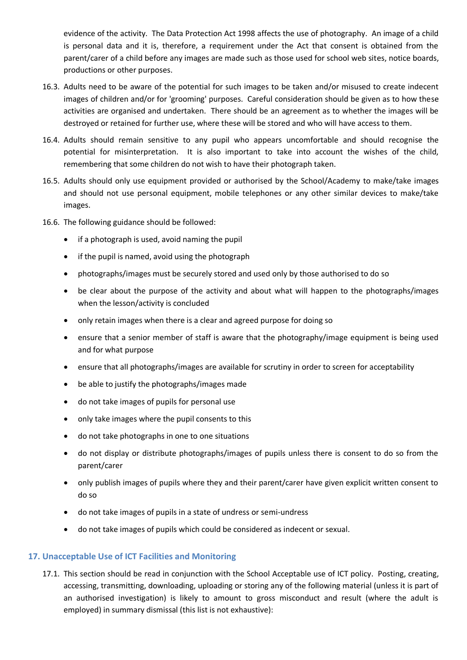evidence of the activity. The Data Protection Act 1998 affects the use of photography. An image of a child is personal data and it is, therefore, a requirement under the Act that consent is obtained from the parent/carer of a child before any images are made such as those used for school web sites, notice boards, productions or other purposes.

- 16.3. Adults need to be aware of the potential for such images to be taken and/or misused to create indecent images of children and/or for 'grooming' purposes. Careful consideration should be given as to how these activities are organised and undertaken. There should be an agreement as to whether the images will be destroyed or retained for further use, where these will be stored and who will have access to them.
- 16.4. Adults should remain sensitive to any pupil who appears uncomfortable and should recognise the potential for misinterpretation. It is also important to take into account the wishes of the child, remembering that some children do not wish to have their photograph taken.
- 16.5. Adults should only use equipment provided or authorised by the School/Academy to make/take images and should not use personal equipment, mobile telephones or any other similar devices to make/take images.
- 16.6. The following guidance should be followed:
	- if a photograph is used, avoid naming the pupil
	- if the pupil is named, avoid using the photograph
	- photographs/images must be securely stored and used only by those authorised to do so
	- be clear about the purpose of the activity and about what will happen to the photographs/images when the lesson/activity is concluded
	- only retain images when there is a clear and agreed purpose for doing so
	- ensure that a senior member of staff is aware that the photography/image equipment is being used and for what purpose
	- ensure that all photographs/images are available for scrutiny in order to screen for acceptability
	- be able to justify the photographs/images made
	- do not take images of pupils for personal use
	- only take images where the pupil consents to this
	- do not take photographs in one to one situations
	- do not display or distribute photographs/images of pupils unless there is consent to do so from the parent/carer
	- only publish images of pupils where they and their parent/carer have given explicit written consent to do so
	- do not take images of pupils in a state of undress or semi-undress
	- do not take images of pupils which could be considered as indecent or sexual.

# **17. Unacceptable Use of ICT Facilities and Monitoring**

17.1. This section should be read in conjunction with the School Acceptable use of ICT policy. Posting, creating, accessing, transmitting, downloading, uploading or storing any of the following material (unless it is part of an authorised investigation) is likely to amount to gross misconduct and result (where the adult is employed) in summary dismissal (this list is not exhaustive):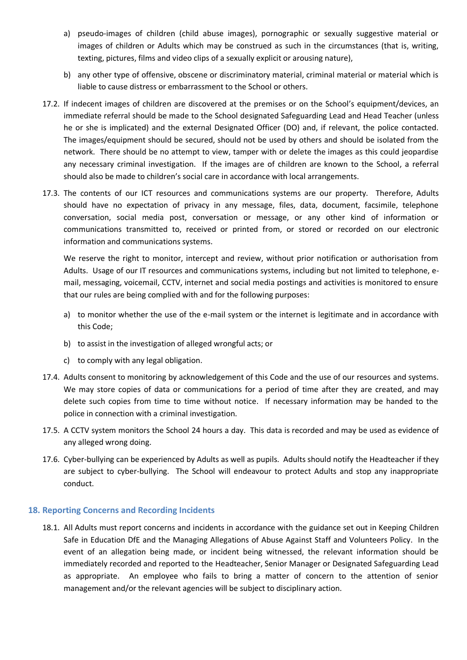- a) pseudo-images of children (child abuse images), pornographic or sexually suggestive material or images of children or Adults which may be construed as such in the circumstances (that is, writing, texting, pictures, films and video clips of a sexually explicit or arousing nature),
- b) any other type of offensive, obscene or discriminatory material, criminal material or material which is liable to cause distress or embarrassment to the School or others.
- 17.2. If indecent images of children are discovered at the premises or on the School's equipment/devices, an immediate referral should be made to the School designated Safeguarding Lead and Head Teacher (unless he or she is implicated) and the external Designated Officer (DO) and, if relevant, the police contacted. The images/equipment should be secured, should not be used by others and should be isolated from the network. There should be no attempt to view, tamper with or delete the images as this could jeopardise any necessary criminal investigation. If the images are of children are known to the School, a referral should also be made to children's social care in accordance with local arrangements.
- 17.3. The contents of our ICT resources and communications systems are our property. Therefore, Adults should have no expectation of privacy in any message, files, data, document, facsimile, telephone conversation, social media post, conversation or message, or any other kind of information or communications transmitted to, received or printed from, or stored or recorded on our electronic information and communications systems.

We reserve the right to monitor, intercept and review, without prior notification or authorisation from Adults. Usage of our IT resources and communications systems, including but not limited to telephone, email, messaging, voicemail, CCTV, internet and social media postings and activities is monitored to ensure that our rules are being complied with and for the following purposes:

- a) to monitor whether the use of the e-mail system or the internet is legitimate and in accordance with this Code;
- b) to assist in the investigation of alleged wrongful acts; or
- c) to comply with any legal obligation.
- 17.4. Adults consent to monitoring by acknowledgement of this Code and the use of our resources and systems. We may store copies of data or communications for a period of time after they are created, and may delete such copies from time to time without notice. If necessary information may be handed to the police in connection with a criminal investigation.
- 17.5. A CCTV system monitors the School 24 hours a day. This data is recorded and may be used as evidence of any alleged wrong doing.
- 17.6. Cyber-bullying can be experienced by Adults as well as pupils. Adults should notify the Headteacher if they are subject to cyber-bullying. The School will endeavour to protect Adults and stop any inappropriate conduct.

#### **18. Reporting Concerns and Recording Incidents**

18.1. All Adults must report concerns and incidents in accordance with the guidance set out in Keeping Children Safe in Education DfE and the Managing Allegations of Abuse Against Staff and Volunteers Policy. In the event of an allegation being made, or incident being witnessed, the relevant information should be immediately recorded and reported to the Headteacher, Senior Manager or Designated Safeguarding Lead as appropriate. An employee who fails to bring a matter of concern to the attention of senior management and/or the relevant agencies will be subject to disciplinary action.